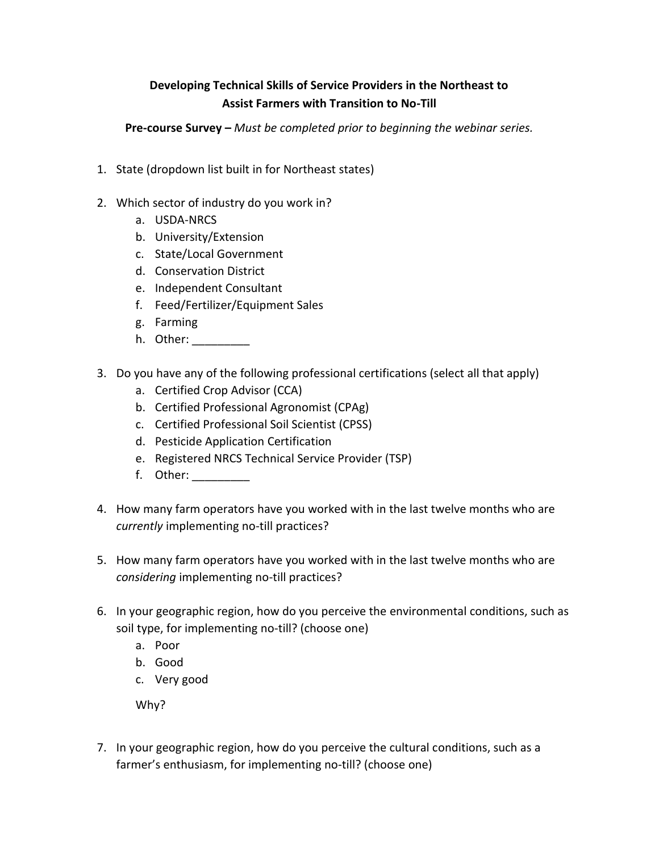## **Developing Technical Skills of Service Providers in the Northeast to Assist Farmers with Transition to No-Till**

**Pre-course Survey –** *Must be completed prior to beginning the webinar series.*

- 1. State (dropdown list built in for Northeast states)
- 2. Which sector of industry do you work in?
	- a. USDA-NRCS
	- b. University/Extension
	- c. State/Local Government
	- d. Conservation District
	- e. Independent Consultant
	- f. Feed/Fertilizer/Equipment Sales
	- g. Farming
	- h. Other: \_\_\_\_\_\_\_\_\_
- 3. Do you have any of the following professional certifications (select all that apply)
	- a. Certified Crop Advisor (CCA)
	- b. Certified Professional Agronomist (CPAg)
	- c. Certified Professional Soil Scientist (CPSS)
	- d. Pesticide Application Certification
	- e. Registered NRCS Technical Service Provider (TSP)
	- f. Other: \_\_\_\_\_\_\_\_\_
- 4. How many farm operators have you worked with in the last twelve months who are *currently* implementing no-till practices?
- 5. How many farm operators have you worked with in the last twelve months who are *considering* implementing no-till practices?
- 6. In your geographic region, how do you perceive the environmental conditions, such as soil type, for implementing no-till? (choose one)
	- a. Poor
	- b. Good
	- c. Very good

Why?

7. In your geographic region, how do you perceive the cultural conditions, such as a farmer's enthusiasm, for implementing no-till? (choose one)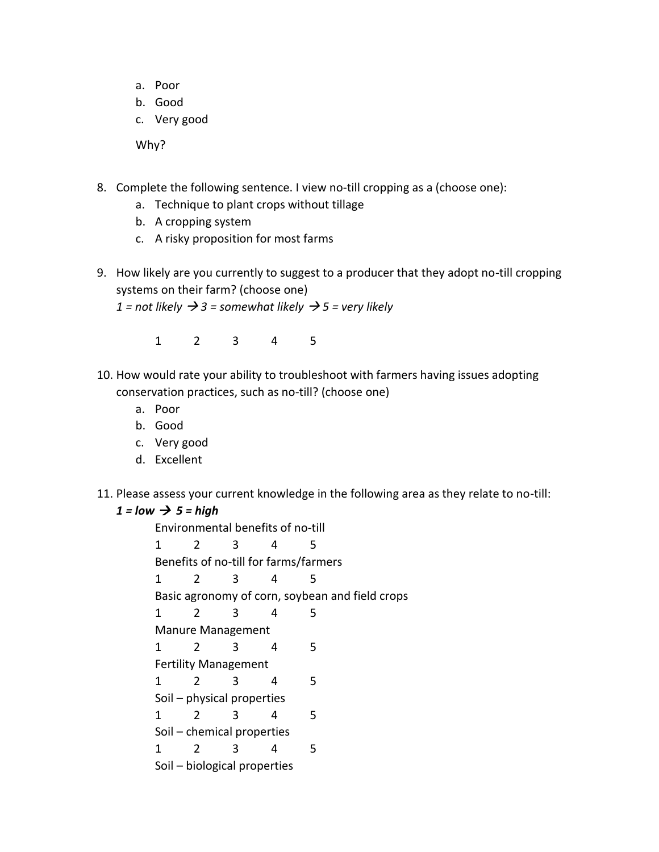- a. Poor
- b. Good
- c. Very good

Why?

- 8. Complete the following sentence. I view no-till cropping as a (choose one):
	- a. Technique to plant crops without tillage
	- b. A cropping system
	- c. A risky proposition for most farms
- 9. How likely are you currently to suggest to a producer that they adopt no-till cropping systems on their farm? (choose one)

*1* = not likely  $\rightarrow$  3 = somewhat likely  $\rightarrow$  5 = very likely

1 2 3 4 5

- 10. How would rate your ability to troubleshoot with farmers having issues adopting conservation practices, such as no-till? (choose one)
	- a. Poor
	- b. Good
	- c. Very good
	- d. Excellent
- 11. Please assess your current knowledge in the following area as they relate to no-till:

## $1 = low \rightarrow 5 = high$

Environmental benefits of no-till 1 2 3 4 5 Benefits of no-till for farms/farmers 1 2 3 4 5 Basic agronomy of corn, soybean and field crops 1 2 3 4 5 Manure Management 1 2 3 4 5 Fertility Management 1 2 3 4 5 Soil – physical properties 1 2 3 4 5 Soil – chemical properties 1 2 3 4 5 Soil – biological properties